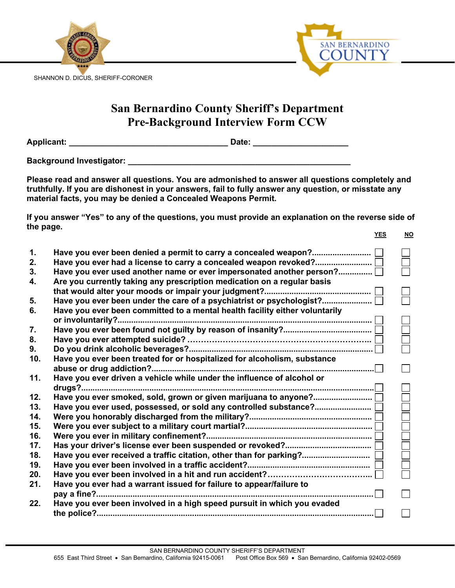

## **San Bernardino County Sheriff's Department Pre-Background Interview Form CCW**

**Applicant: \_\_\_\_\_\_\_\_\_\_\_\_\_\_\_\_\_\_\_\_\_\_\_\_\_\_\_\_\_\_\_\_\_\_\_ Date: \_\_\_\_\_\_\_\_\_\_\_\_\_\_\_\_\_\_\_\_\_**

**Background Investigator: \_\_\_\_\_\_\_\_\_\_\_\_\_\_\_\_\_\_\_\_\_\_\_\_\_\_\_\_\_\_\_\_\_\_\_\_\_\_\_\_\_\_\_\_\_\_\_\_\_**

**Please read and answer all questions. You are admonished to answer all questions completely and truthfully. If you are dishonest in your answers, fail to fully answer any question, or misstate any material facts, you may be denied a Concealed Weapons Permit.**

**If you answer "Yes" to any of the questions, you must provide an explanation on the reverse side of the page. YES NO**

| 1.  |                                                                             |  |
|-----|-----------------------------------------------------------------------------|--|
| 2.  |                                                                             |  |
| 3.  | Have you ever used another name or ever impersonated another person?        |  |
| 4.  | Are you currently taking any prescription medication on a regular basis     |  |
|     |                                                                             |  |
| 5.  | Have you ever been under the care of a psychiatrist or psychologist?        |  |
| 6.  | Have you ever been committed to a mental health facility either voluntarily |  |
|     |                                                                             |  |
| 7.  |                                                                             |  |
| 8.  |                                                                             |  |
| 9.  |                                                                             |  |
| 10. | Have you ever been treated for or hospitalized for alcoholism, substance    |  |
|     |                                                                             |  |
| 11. | Have you ever driven a vehicle while under the influence of alcohol or      |  |
|     |                                                                             |  |
| 12. |                                                                             |  |
| 13. |                                                                             |  |
| 14. |                                                                             |  |
| 15. |                                                                             |  |
| 16. |                                                                             |  |
| 17. |                                                                             |  |
| 18. | Have you ever received a traffic citation, other than for parking? [        |  |
| 19. |                                                                             |  |
| 20. |                                                                             |  |
| 21. | Have you ever had a warrant issued for failure to appear/failure to         |  |
|     |                                                                             |  |
| 22. | Have you ever been involved in a high speed pursuit in which you evaded     |  |
|     |                                                                             |  |
|     |                                                                             |  |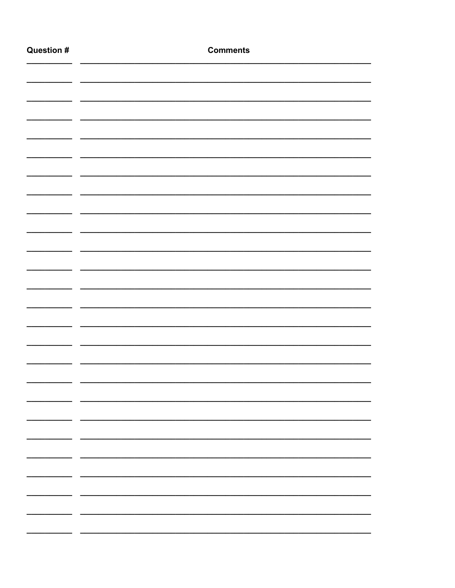| <b>Question #</b> | <b>Comments</b>          |
|-------------------|--------------------------|
|                   |                          |
|                   |                          |
|                   |                          |
|                   |                          |
|                   |                          |
|                   |                          |
|                   |                          |
|                   |                          |
|                   |                          |
|                   |                          |
|                   |                          |
|                   |                          |
|                   |                          |
|                   |                          |
|                   |                          |
|                   |                          |
|                   |                          |
|                   |                          |
|                   |                          |
|                   |                          |
|                   |                          |
|                   |                          |
|                   |                          |
|                   | $\overline{\phantom{0}}$ |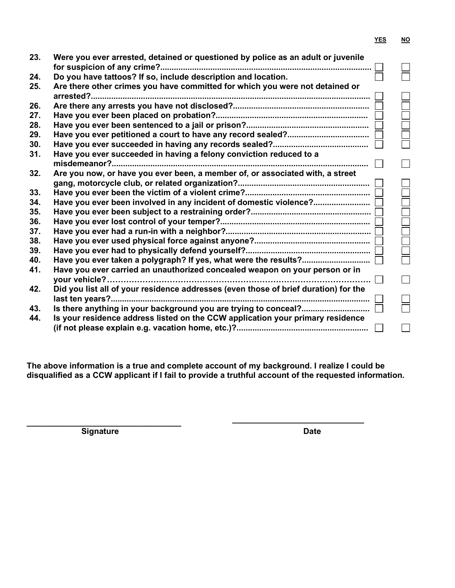|--|--|

| 23. | Were you ever arrested, detained or questioned by police as an adult or juvenile    |  |
|-----|-------------------------------------------------------------------------------------|--|
|     |                                                                                     |  |
| 24. | Do you have tattoos? If so, include description and location.                       |  |
| 25. | Are there other crimes you have committed for which you were not detained or        |  |
|     | arrested?                                                                           |  |
| 26. |                                                                                     |  |
| 27. |                                                                                     |  |
| 28. |                                                                                     |  |
| 29. |                                                                                     |  |
| 30. |                                                                                     |  |
| 31. | Have you ever succeeded in having a felony conviction reduced to a                  |  |
|     |                                                                                     |  |
| 32. | Are you now, or have you ever been, a member of, or associated with, a street       |  |
|     |                                                                                     |  |
| 33. |                                                                                     |  |
| 34. | Have you ever been involved in any incident of domestic violence?                   |  |
| 35. |                                                                                     |  |
| 36. |                                                                                     |  |
| 37. |                                                                                     |  |
| 38. |                                                                                     |  |
| 39. |                                                                                     |  |
| 40. |                                                                                     |  |
| 41. | Have you ever carried an unauthorized concealed weapon on your person or in         |  |
|     | vour vehicle?                                                                       |  |
| 42. | Did you list all of your residence addresses (even those of brief duration) for the |  |
|     |                                                                                     |  |
| 43. | Is there anything in your background you are trying to conceal?                     |  |
| 44. | Is your residence address listed on the CCW application your primary residence      |  |
|     |                                                                                     |  |

**The above information is a true and complete account of my background. I realize I could be disqualified as a CCW applicant if I fail to provide a truthful account of the requested information.**

**\_\_\_\_\_\_\_\_\_\_\_\_\_\_\_\_\_\_\_\_\_\_\_\_\_\_\_\_\_\_\_\_\_\_ Signature Date** 

**\_\_\_\_\_\_\_\_\_\_\_\_\_\_\_\_\_\_\_\_\_\_\_\_\_\_\_\_\_**